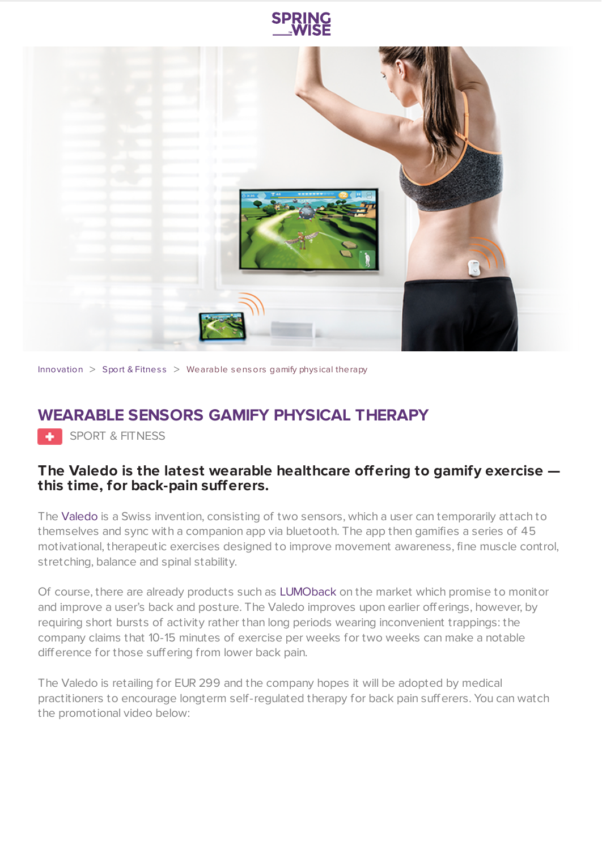



[Innovation](https://www.springwise.com/search?type=innovation)  $>$  Sport & [Fitnes](https://www.springwise.com/search?type=innovation§or=sport-fitness)s  $>$  Wearable sensors gamify physical therapy

## **WEARABLE SENSORS GAMIFY PHYSICAL THERAPY**

SPORT & FITNESS

## **The Valedo is the latest wearable healthcare offering to gamify exercise this time, for back-pain sufferers.**

The [Valedo](http://www.valedotherapy.com/) is a Swiss invention, consisting of two sensors, which a user can temporarily attach to themselves and sync with a companion app via bluetooth. The app then gamifies a series of 45 motivational, therapeutic exercises designed to improve movement awareness, fine muscle control, stretching, balance and spinal stability.

Of course, there are already products such as [LUMOback](https://www.springwise.com/wireless-sensors-mobile-app-users-stop-slouching/) on the market which promise to monitor and improve a user's back and posture. The Valedo improves upon earlier offerings, however, by requiring short bursts of activity rather than long periods wearing inconvenient trappings: the company claims that 10-15 minutes of exercise per weeks for two weeks can make a notable difference for those suffering from lower back pain.

The Valedo is retailing for EUR 299 and the company hopes it will be adopted by medical practitioners to encourage longterm self-regulated therapy for back pain sufferers. You can watch the promotional video below: